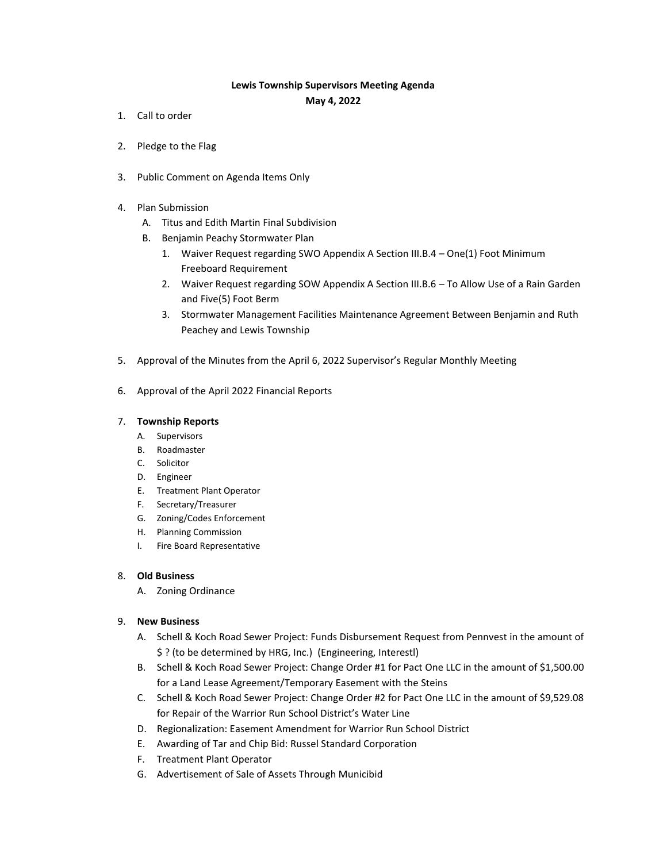## **Lewis Township Supervisors Meeting Agenda**

**May 4, 2022**

- 1. Call to order
- 2. Pledge to the Flag
- 3. Public Comment on Agenda Items Only
- 4. Plan Submission
	- A. Titus and Edith Martin Final Subdivision
	- B. Benjamin Peachy Stormwater Plan
		- 1. Waiver Request regarding SWO Appendix A Section III.B.4 One(1) Foot Minimum Freeboard Requirement
		- 2. Waiver Request regarding SOW Appendix A Section III.B.6 To Allow Use of a Rain Garden and Five(5) Foot Berm
		- 3. Stormwater Management Facilities Maintenance Agreement Between Benjamin and Ruth Peachey and Lewis Township
- 5. Approval of the Minutes from the April 6, 2022 Supervisor's Regular Monthly Meeting
- 6. Approval of the April 2022 Financial Reports

## 7. **Township Reports**

- A. Supervisors
- B. Roadmaster
- C. Solicitor
- D. Engineer
- E. Treatment Plant Operator
- F. Secretary/Treasurer
- G. Zoning/Codes Enforcement
- H. Planning Commission
- I. Fire Board Representative

## 8. **Old Business**

A. Zoning Ordinance

## 9. **New Business**

- A. Schell & Koch Road Sewer Project: Funds Disbursement Request from Pennvest in the amount of \$ ? (to be determined by HRG, Inc.) (Engineering, Interestl)
- B. Schell & Koch Road Sewer Project: Change Order #1 for Pact One LLC in the amount of \$1,500.00 for a Land Lease Agreement/Temporary Easement with the Steins
- C. Schell & Koch Road Sewer Project: Change Order #2 for Pact One LLC in the amount of \$9,529.08 for Repair of the Warrior Run School District's Water Line
- D. Regionalization: Easement Amendment for Warrior Run School District
- E. Awarding of Tar and Chip Bid: Russel Standard Corporation
- F. Treatment Plant Operator
- G. Advertisement of Sale of Assets Through Municibid